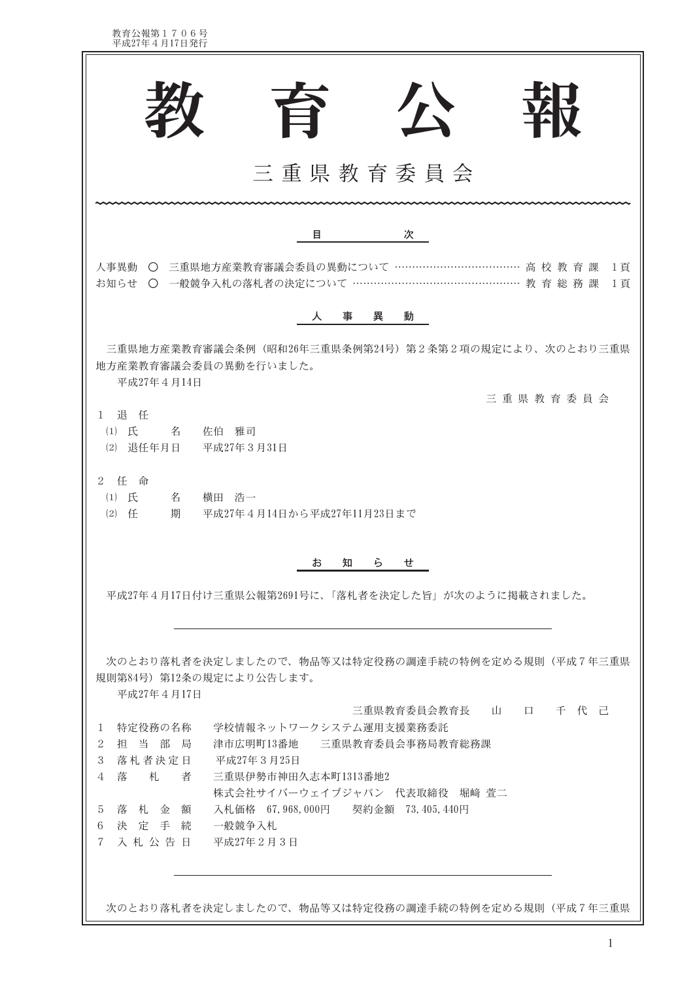教育公報第1706号<br>平成27年4月17日発行

| 公<br>旨                                                                                                                   |  |  |  |  |
|--------------------------------------------------------------------------------------------------------------------------|--|--|--|--|
| 三重県教育委員会                                                                                                                 |  |  |  |  |
| 次<br>目                                                                                                                   |  |  |  |  |
| 人事異動 〇 三重県地方産業教育審議会委員の異動について ……………………………… 高 校 教 育 課<br>1頁<br>お知らせ ○ 一般競争入札の落札者の決定について ……………………………………………… 教 育 総 務 課<br>1頁 |  |  |  |  |
| 人事異<br>動                                                                                                                 |  |  |  |  |
| 三重県地方産業教育審議会条例(昭和26年三重県条例第24号)第2条第2項の規定により、次のとおり三重県<br>地方産業教育審議会委員の異動を行いました。<br>平成27年4月14日                               |  |  |  |  |
| 三重県教育委員会<br>1 退 任<br>(1) 氏 名 佐伯 雅司<br>(2) 退任年月日 平成27年3月31日                                                               |  |  |  |  |
| 2 任 命<br>$(1)$ 氏<br>名<br>横田 浩一<br>$(2)$ $f_{\pm}$<br>期<br>- 平成27年4月14日から平成27年11月23日まで                                    |  |  |  |  |
| 知らい ちんじょう<br>お<br>せ                                                                                                      |  |  |  |  |
| 平成27年4月17日付け三重県公報第2691号に、「落札者を決定した旨」が次のように掲載されました。                                                                       |  |  |  |  |
| 次のとおり落札者を決定しましたので、物品等又は特定役務の調達手続の特例を定める規則(平成7年三重県<br>規則第84号) 第12条の規定により公告します。<br>平成27年4月17日                              |  |  |  |  |
| 三重県教育委員会教育長 山 口 千 代 己                                                                                                    |  |  |  |  |
| 学校情報ネットワークシステム運用支援業務委託<br>特定役務の名称<br>1<br>津市広明町13番地 三重県教育委員会事務局教育総務課<br>担 当 部 局<br>2                                     |  |  |  |  |
| 落札者決定日<br>3<br>平成27年3月25日                                                                                                |  |  |  |  |
| 落<br>札<br>者<br>三重県伊勢市神田久志本町1313番地2<br>4                                                                                  |  |  |  |  |
| 株式会社サイバーウェイブジャパン 代表取締役 堀崎 萱二<br>落札金額<br>入札価格 67,968,000円 契約金額 73,405,440円<br>5                                           |  |  |  |  |
| 決 定 手 続<br>一般競争入札<br>6                                                                                                   |  |  |  |  |
| 入札公告日 平成27年2月3日<br>$7 -$                                                                                                 |  |  |  |  |
|                                                                                                                          |  |  |  |  |

次のとおり落札者を決定しましたので、物品等又は特定役務の調達手続の特例を定める規則(平成7年三重県